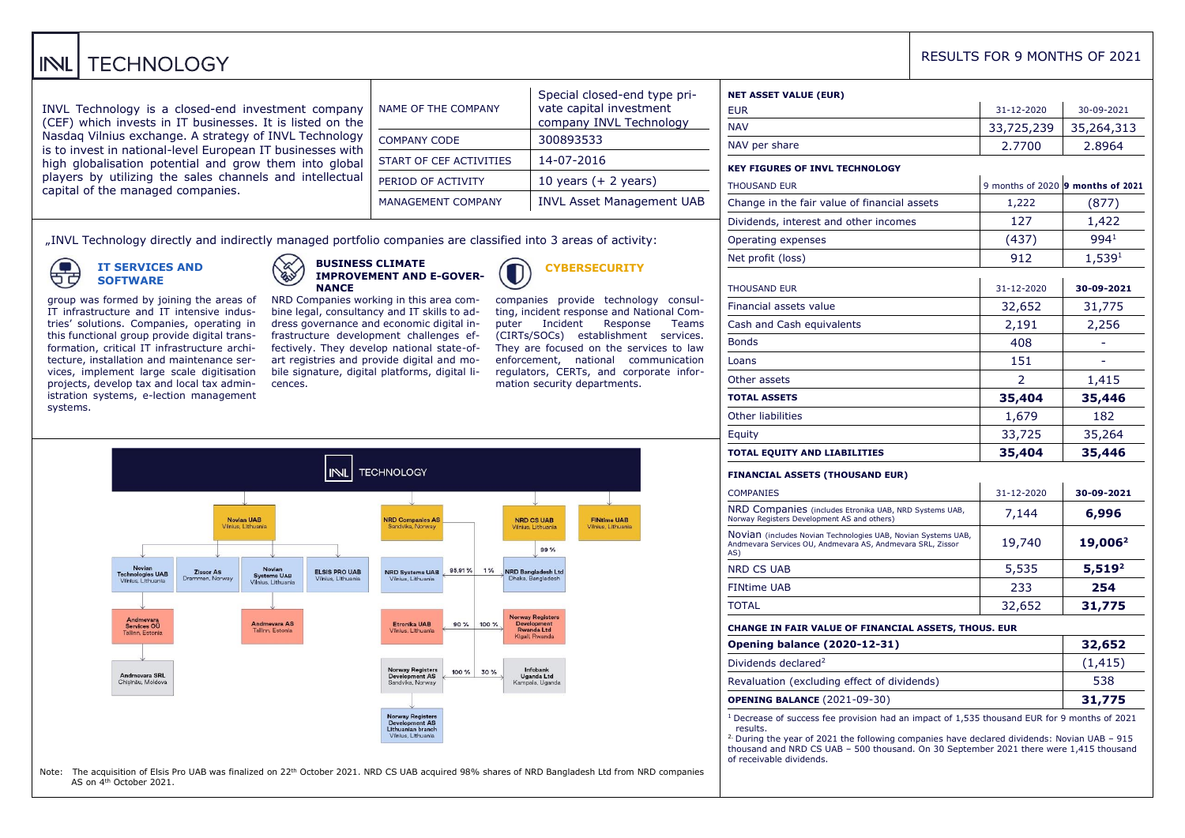#### **TECHNOLOGY** INL

INVL Technology is a closed-end investment company (CEF) which invests in IT businesses. It is listed on the Nasdaq Vilnius exchange. A strategy of INVL Technology is to invest in national-level European IT businesses with high globalisation potential and grow them into global players by utilizing the sales channels and intellectual capital of the managed companies.

| NAME OF THE COMPANY       | Special closed-end type pri-<br>vate capital investment<br>company INVL Technology |
|---------------------------|------------------------------------------------------------------------------------|
| <b>COMPANY CODE</b>       | 300893533                                                                          |
| START OF CEF ACTIVITIES   | 14-07-2016                                                                         |
| PERIOD OF ACTIVITY        | 10 years $(+ 2$ years)                                                             |
| <b>MANAGEMENT COMPANY</b> | <b>INVL Asset Management UAB</b>                                                   |

"INVL Technology directly and indirectly managed portfolio companies are classified into 3 areas of activity:

⊂ もさ

**IT SERVICES AND SOFTWARE**

group was formed by joining the areas of IT infrastructure and IT intensive industries' solutions. Companies, operating in this functional group provide digital transformation, critical IT infrastructure architecture, installation and maintenance services, implement large scale digitisation projects, develop tax and local tax admin-

**BUSINESS CLIMATE IMPROVEMENT AND E-GOVER-NANCE** NRD Companies working in this area com-

bine legal, consultancy and IT skills to address governance and economic digital infrastructure development challenges effectively. They develop national state-ofart registries and provide digital and mobile signature, digital platforms, digital li-



**CYBERSECURITY**

mation security departments.

companies provide technology consulting, incident response and National Computer Incident Response Teams (CIRTs/SOCs) establishment services. They are focused on the services to law enforcement, national communication regulators, CERTs, and corporate infor-

**FINtime UAB** 

Iniun Lithuanis

Special closed-end type pri-

istration systems, e-lection management systems. **INL TECHNOLOGY** Novian UAB **NRD Companies AS** NRD CS UAB Vilnius Lithuani ndulka Norway 99% Novian Novian<br>Systems UAB  $1%$ Zissor AS ELSIS PRO UAB NRD Systems UAB 95,91% NRD Bangladesh Ltd<br>Dhaka, Bangladesh Technologies LIAR Vilnius Lithu Vilnius Lithuanis Vilnius Lithuania Vilnius Lithuanis orway Register Andmevara<br>Services OU<br>Tallinn, Estonia Andmevara AS<br>Tallinn, Estonia Etronika UAB  $90%$ 100% Development<br>Rwanda Ltd Norway Registers<br>Development AS<br>Sandvika, Norway Infohank  $100%$ 30% Andmevara SRL<br>Chişinău, Moldova Uganda Ltd Kampala Ugang

cences.

Note: The acquisition of Elsis Pro UAB was finalized on 22<sup>th</sup> October 2021. NRD CS UAB acquired 98% shares of NRD Bangladesh Ltd from NRD companies AS on 4th October 2021.

orway Register Development As<br>Lithuanian branc  $nt A5$ Vilnius, Lithuania

| <b>NET ASSET VALUE (EUR)</b>                                                                                                       |                                   |                     |
|------------------------------------------------------------------------------------------------------------------------------------|-----------------------------------|---------------------|
| <b>EUR</b>                                                                                                                         | 31-12-2020                        | 30-09-2021          |
| <b>NAV</b>                                                                                                                         | 33,725,239                        | 35,264,313          |
| NAV per share                                                                                                                      | 2.7700                            | 2.8964              |
| <b>KEY FIGURES OF INVL TECHNOLOGY</b>                                                                                              |                                   |                     |
| <b>THOUSAND EUR</b>                                                                                                                | 9 months of 2020 9 months of 2021 |                     |
| Change in the fair value of financial assets                                                                                       | 1,222                             | (877)               |
| Dividends, interest and other incomes                                                                                              | 127                               | 1,422               |
| Operating expenses                                                                                                                 | (437)                             | 994 <sup>1</sup>    |
| Net profit (loss)                                                                                                                  | 912                               | 1,539 <sup>1</sup>  |
| <b>THOUSAND EUR</b>                                                                                                                | 31-12-2020                        | 30-09-2021          |
| Financial assets value                                                                                                             | 32,652                            | 31,775              |
| Cash and Cash equivalents                                                                                                          | 2,191                             | 2,256               |
| <b>Bonds</b>                                                                                                                       | 408                               |                     |
| Loans                                                                                                                              | 151                               |                     |
| Other assets                                                                                                                       | 2                                 | 1,415               |
| <b>TOTAL ASSETS</b>                                                                                                                | 35,404                            | 35,446              |
| <b>Other liabilities</b>                                                                                                           | 1,679                             | 182                 |
| Equity                                                                                                                             | 33,725                            | 35,264              |
| <b>TOTAL EQUITY AND LIABILITIES</b>                                                                                                | 35,404                            | 35,446              |
| <b>FINANCIAL ASSETS (THOUSAND EUR)</b>                                                                                             |                                   |                     |
| <b>COMPANIES</b>                                                                                                                   | 31-12-2020                        | 30-09-2021          |
| NRD Companies (includes Etronika UAB, NRD Systems UAB,<br>Norway Registers Development AS and others)                              | 7,144                             | 6,996               |
| NOVIAN (includes Novian Technologies UAB, Novian Systems UAB,<br>Andmevara Services OU, Andmevara AS, Andmevara SRL, Zissor<br>AS) | 19,740                            | 19,006 <sup>2</sup> |
| <b>NRD CS UAB</b>                                                                                                                  | 5,535                             | $5,519^2$           |
| <b>FINtime UAB</b>                                                                                                                 | 233                               | 254                 |
| TOTAL                                                                                                                              | 32,652                            | 31,775              |
| CHANGE IN FAIR VALUE OF FINANCIAL ASSETS, THOUS. EUR                                                                               |                                   |                     |
| <b>Opening balance (2020-12-31)</b>                                                                                                | 32,652                            |                     |
| Dividends declared <sup>2</sup>                                                                                                    | (1, 415)                          |                     |
|                                                                                                                                    | 538                               |                     |
| Revaluation (excluding effect of dividends)                                                                                        |                                   |                     |

RESULTS FOR 9 MONTHS OF 2021

results. <sup>2.</sup> During the year of 2021 the following companies have declared dividends: Novian UAB – 915 thousand and NRD CS UAB – 500 thousand. On 30 September 2021 there were 1,415 thousand of receivable dividends.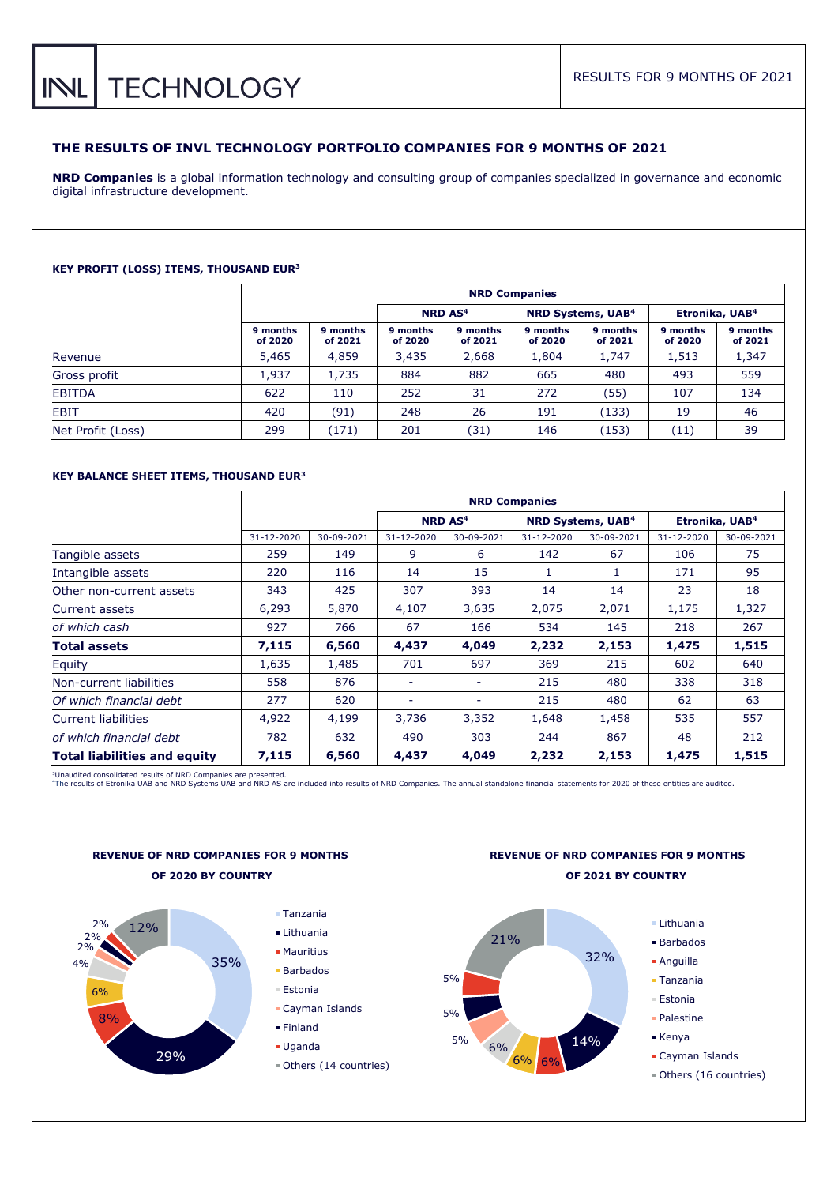# **TECHNOLOGY**  $INL$

# **THE RESULTS OF INVL TECHNOLOGY PORTFOLIO COMPANIES FOR 9 MONTHS OF 2021**

**NRD Companies** is a global information technology and consulting group of companies specialized in governance and economic digital infrastructure development.

## **KEY PROFIT (LOSS) ITEMS, THOUSAND EUR<sup>3</sup>**

|                   | <b>NRD Companies</b> |                                                                                                |                     |                     |                     |                     |                     |                     |  |  |  |
|-------------------|----------------------|------------------------------------------------------------------------------------------------|---------------------|---------------------|---------------------|---------------------|---------------------|---------------------|--|--|--|
|                   |                      | <b>NRD AS<sup>4</sup></b><br>Etronika, UAB <sup>4</sup><br><b>NRD Systems, UAB<sup>4</sup></b> |                     |                     |                     |                     |                     |                     |  |  |  |
|                   | 9 months<br>of 2020  | 9 months<br>of 2021                                                                            | 9 months<br>of 2020 | 9 months<br>of 2021 | 9 months<br>of 2020 | 9 months<br>of 2021 | 9 months<br>of 2020 | 9 months<br>of 2021 |  |  |  |
| Revenue           | 5,465                | 4,859                                                                                          | 3,435               | 2,668               | 1,804               | 1,747               | 1,513               | 1,347               |  |  |  |
| Gross profit      | 1.937                | 1,735                                                                                          | 884                 | 882                 | 665                 | 480                 | 493                 | 559                 |  |  |  |
| <b>EBITDA</b>     | 622                  | 110                                                                                            | 252                 | 31                  | 272                 | (55)                | 107                 | 134                 |  |  |  |
| <b>EBIT</b>       | 420                  | (91)                                                                                           | 248                 | 26                  | 191                 | (133)               | 19                  | 46                  |  |  |  |
| Net Profit (Loss) | 299                  | (171)                                                                                          | 201                 | (31)                | 146                 | (153)               | (11)                | 39                  |  |  |  |

## **KEY BALANCE SHEET ITEMS, THOUSAND EUR<sup>3</sup>**

|                                     | <b>NRD Companies</b> |            |                          |                          |            |                                     |                            |            |  |  |
|-------------------------------------|----------------------|------------|--------------------------|--------------------------|------------|-------------------------------------|----------------------------|------------|--|--|
|                                     |                      |            |                          | NRD AS <sup>4</sup>      |            | <b>NRD Systems, UAB<sup>4</sup></b> | Etronika, UAB <sup>4</sup> |            |  |  |
|                                     | 31-12-2020           | 30-09-2021 | 31-12-2020               | 30-09-2021               | 31-12-2020 | 30-09-2021                          | 31-12-2020                 | 30-09-2021 |  |  |
| Tangible assets                     | 259                  | 149        | 9                        | 6                        | 142        | 67                                  | 106                        | 75         |  |  |
| Intangible assets                   | 220                  | 116        | 14                       | 15                       | 1          | 1                                   | 171                        | 95         |  |  |
| Other non-current assets            | 343                  | 425        | 307                      | 393                      | 14         | 14                                  | 23                         | 18         |  |  |
| Current assets                      | 6,293                | 5,870      | 4,107                    | 3,635                    | 2,075      | 2,071                               | 1,175                      | 1,327      |  |  |
| of which cash                       | 927                  | 766        | 67                       | 166                      | 534        | 145                                 | 218                        | 267        |  |  |
| <b>Total assets</b>                 | 7,115                | 6,560      | 4,437                    | 4,049                    | 2,232      | 2,153                               | 1,475                      | 1,515      |  |  |
| Equity                              | 1,635                | 1,485      | 701                      | 697                      | 369        | 215                                 | 602                        | 640        |  |  |
| Non-current liabilities             | 558                  | 876        | $\overline{\phantom{a}}$ | $\overline{\phantom{a}}$ | 215        | 480                                 | 338                        | 318        |  |  |
| Of which financial debt             | 277                  | 620        | $\overline{\phantom{a}}$ | $\overline{\phantom{0}}$ | 215        | 480                                 | 62                         | 63         |  |  |
| <b>Current liabilities</b>          | 4,922                | 4,199      | 3,736                    | 3,352                    | 1,648      | 1,458                               | 535                        | 557        |  |  |
| of which financial debt             | 782                  | 632        | 490                      | 303                      | 244        | 867                                 | 48                         | 212        |  |  |
| <b>Total liabilities and equity</b> | 7,115                | 6,560      | 4,437                    | 4,049                    | 2,232      | 2,153                               | 1,475                      | 1,515      |  |  |

<sup>3</sup>Unaudited consolidated results of NRD Companies are presented.<br>"The results of Etronika UAB and NRD Systems UAB and NRD AS are included into results of NRD Companies. The annual standalone financial statements for 2020







- Barbados
- Anguilla
- Tanzania
- Estonia
- Palestine
	-
- Cayman Islands
- Others (16 countries)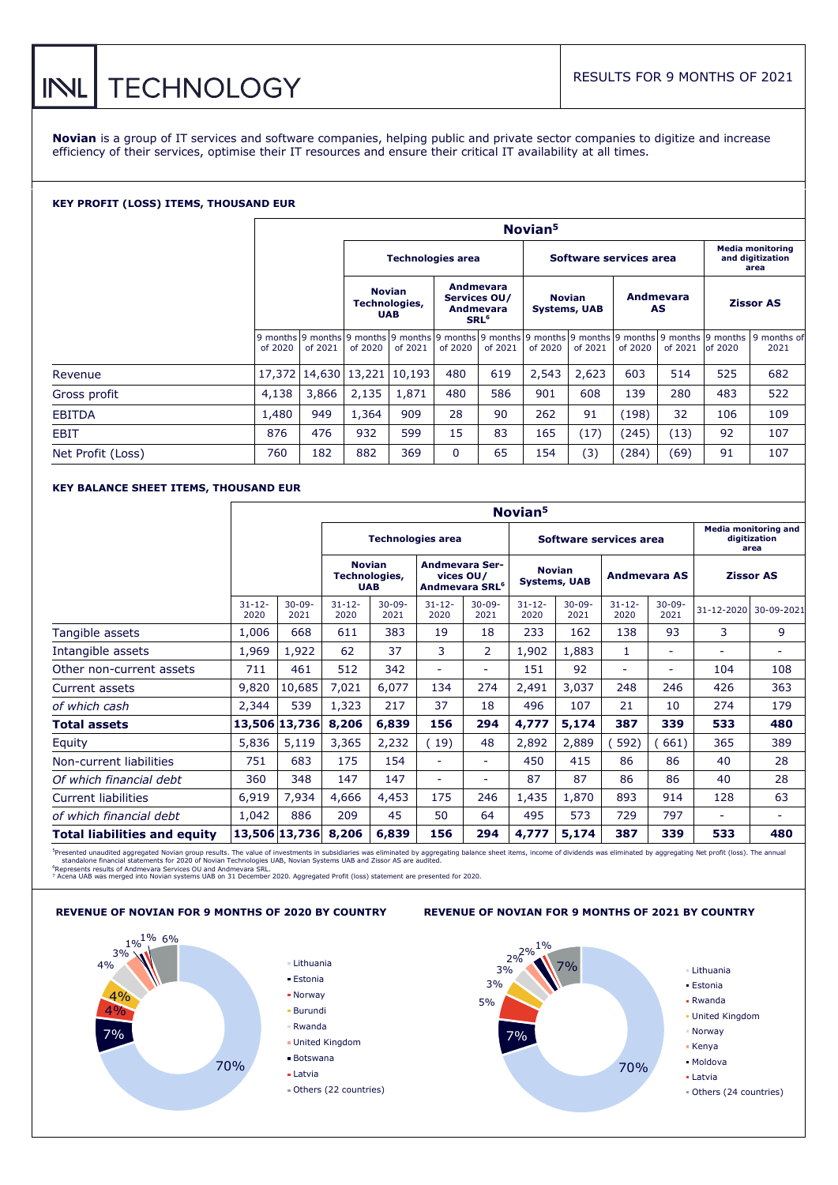# RESULTS FOR 9 MONTHS OF 2021

**Novian** is a group of IT services and software companies, helping public and private sector companies to digitize and increase efficiency of their services, optimise their IT resources and ensure their critical IT availability at all times.

#### **KEY PROFIT (LOSS) ITEMS, THOUSAND EUR**

**INL** 

|                   | Novian <sup>5</sup>      |                      |                                              |         |                                                            |         |                                      |                        |                 |         |                  |                                                                                                                       |
|-------------------|--------------------------|----------------------|----------------------------------------------|---------|------------------------------------------------------------|---------|--------------------------------------|------------------------|-----------------|---------|------------------|-----------------------------------------------------------------------------------------------------------------------|
|                   | <b>Technologies area</b> |                      |                                              |         |                                                            |         |                                      | Software services area |                 |         |                  | <b>Media monitoring</b><br>and digitization<br>area                                                                   |
|                   |                          |                      | <b>Novian</b><br>Technologies,<br><b>UAB</b> |         | Andmevara<br>Services OU/<br>Andmevara<br>SRL <sup>6</sup> |         | <b>Novian</b><br><b>Systems, UAB</b> |                        | Andmevara<br>AS |         | <b>Zissor AS</b> |                                                                                                                       |
|                   | of 2020                  | of 2021              | of 2020                                      | of 2021 | of 2020                                                    | of 2021 | of 2020                              | of 2021                | of 2020         | of 2021 | of 2020          | 9 months 9 months 9 months 9 months 9 months 9 months 9 months 9 months 9 months 9 months 9 months 9 months 9<br>2021 |
| Revenue           |                          | 17,372 14,630 13,221 |                                              | 10,193  | 480                                                        | 619     | 2,543                                | 2,623                  | 603             | 514     | 525              | 682                                                                                                                   |
| Gross profit      | 4,138                    | 3,866                | 2,135                                        | 1,871   | 480                                                        | 586     | 901                                  | 608                    | 139             | 280     | 483              | 522                                                                                                                   |
| <b>EBITDA</b>     | 1,480                    | 949                  | 1,364                                        | 909     | 28                                                         | 90      | 262                                  | 91                     | (198)           | 32      | 106              | 109                                                                                                                   |
| <b>EBIT</b>       | 876                      | 476                  | 932                                          | 599     | 15                                                         | 83      | 165                                  | (17)                   | (245)           | (13)    | 92               | 107                                                                                                                   |
| Net Profit (Loss) | 760                      | 182                  | 882                                          | 369     | $\mathbf 0$                                                | 65      | 154                                  | (3)                    | (284)           | (69)    | 91               | 107                                                                                                                   |

# **KEY BALANCE SHEET ITEMS, THOUSAND EUR**

|                                     | Novian <sup>5</sup> |                     |                                                    |                     |                                                                  |                          |                                      |                     |                     |                          |                                                     |                          |
|-------------------------------------|---------------------|---------------------|----------------------------------------------------|---------------------|------------------------------------------------------------------|--------------------------|--------------------------------------|---------------------|---------------------|--------------------------|-----------------------------------------------------|--------------------------|
|                                     |                     |                     | <b>Technologies area</b><br>Software services area |                     |                                                                  |                          |                                      |                     |                     |                          | <b>Media monitoring and</b><br>digitization<br>area |                          |
|                                     |                     |                     | <b>Novian</b><br>Technologies,<br><b>UAB</b>       |                     | <b>Andmevara Ser-</b><br>vices OU/<br>Andmevara SRL <sup>6</sup> |                          | <b>Novian</b><br><b>Systems, UAB</b> |                     | <b>Andmevara AS</b> |                          | <b>Zissor AS</b>                                    |                          |
|                                     | $31 - 12 -$<br>2020 | $30 - 09 -$<br>2021 | $31 - 12 -$<br>2020                                | $30 - 09 -$<br>2021 | $31 - 12 -$<br>2020                                              | $30 - 09 -$<br>2021      | $31 - 12 -$<br>2020                  | $30 - 09 -$<br>2021 | $31 - 12 -$<br>2020 | $30 - 09 -$<br>2021      | 31-12-2020                                          | 30-09-2021               |
| Tangible assets                     | 1,006               | 668                 | 611                                                | 383                 | 19                                                               | 18                       | 233                                  | 162                 | 138                 | 93                       | 3                                                   | 9                        |
| Intangible assets                   | 1,969               | 1,922               | 62                                                 | 37                  | 3                                                                | $\overline{2}$           | 1,902                                | 1,883               | 1                   | $\overline{\phantom{0}}$ | $\overline{\phantom{0}}$                            | $\overline{\phantom{0}}$ |
| Other non-current assets            | 711                 | 461                 | 512                                                | 342                 | $\overline{\phantom{0}}$                                         | $\overline{\phantom{0}}$ | 151                                  | 92                  |                     | $\overline{a}$           | 104                                                 | 108                      |
| Current assets                      | 9,820               | 10,685              | 7,021                                              | 6.077               | 134                                                              | 274                      | 2,491                                | 3,037               | 248                 | 246                      | 426                                                 | 363                      |
| of which cash                       | 2,344               | 539                 | 1,323                                              | 217                 | 37                                                               | 18                       | 496                                  | 107                 | 21                  | 10                       | 274                                                 | 179                      |
| Total assets                        |                     | 13,506 13,736       | 8,206                                              | 6,839               | 156                                                              | 294                      | 4,777                                | 5,174               | 387                 | 339                      | 533                                                 | 480                      |
| Equity                              | 5,836               | 5,119               | 3,365                                              | 2,232               | 19)                                                              | 48                       | 2,892                                | 2,889               | 592)                | 661)                     | 365                                                 | 389                      |
| Non-current liabilities             | 751                 | 683                 | 175                                                | 154                 | $\overline{\phantom{0}}$                                         | $\overline{\phantom{0}}$ | 450                                  | 415                 | 86                  | 86                       | 40                                                  | 28                       |
| Of which financial debt             | 360                 | 348                 | 147                                                | 147                 | $\overline{\phantom{0}}$                                         | $\overline{\phantom{0}}$ | 87                                   | 87                  | 86                  | 86                       | 40                                                  | 28                       |
| <b>Current liabilities</b>          | 6,919               | 7,934               | 4,666                                              | 4,453               | 175                                                              | 246                      | 1,435                                | 1,870               | 893                 | 914                      | 128                                                 | 63                       |
| of which financial debt             | 1,042               | 886                 | 209                                                | 45                  | 50                                                               | 64                       | 495                                  | 573                 | 729                 | 797                      | $\overline{\phantom{0}}$                            | $\overline{\phantom{0}}$ |
| <b>Total liabilities and equity</b> |                     | 13,506 13,736       | 8,206                                              | 6,839               | 156                                                              | 294                      | 4,777                                | 5,174               | 387                 | 339                      | 533                                                 | 480                      |

<sup>5</sup>Presented unaudited aggregated Novian group results. The value of investments in subsidiaries was eliminated by aggregating balance sheet items, income of dividends was eliminated by aggregating Net profit (loss). The a





**REVENUE OF NOVIAN FOR 9 MONTHS OF 2020 BY COUNTRY REVENUE OF NOVIAN FOR 9 MONTHS OF 2021 BY COUNTRY**

**TECHNOLOGY**